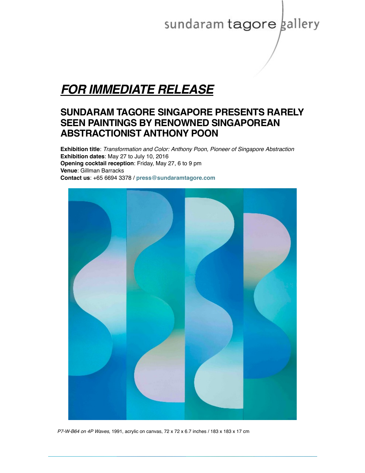# sundaram tagore gallery

## *FOR IMMEDIATE RELEASE*

### **SUNDARAM TAGORE SINGAPORE PRESENTS RARELY SEEN PAINTINGS BY RENOWNED SINGAPOREAN ABSTRACTIONIST ANTHONY POON**

**Exhibition title**: *Transformation and Color: Anthony Poon, Pioneer of Singapore Abstraction* **Exhibition dates**: May 27 to July 10, 2016 **Opening cocktail reception**: Friday, May 27, 6 to 9 pm **Venue**: Gillman Barracks **Contact us**: +65 6694 3378 / **[press@sundaramtagore.com](mailto:press@sundaramtagore.com?subject=Anthony%20Poon)**



P7-W-B64 on 4P Waves, 1991, acrylic on canvas, 72 x 72 x 6.7 inches / 183 x 183 x 17 cm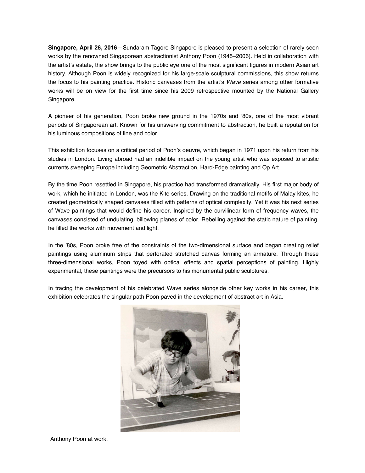**Singapore, April 26, 2016**—Sundaram Tagore Singapore is pleased to present a selection of rarely seen works by the renowned Singaporean abstractionist Anthony Poon (1945–2006). Held in collaboration with the artist's estate, the show brings to the public eye one of the most significant figures in modern Asian art history. Although Poon is widely recognized for his large-scale sculptural commissions, this show returns the focus to his painting practice. Historic canvases from the artist's *Wave* series among other formative works will be on view for the first time since his 2009 retrospective mounted by the National Gallery Singapore.

A pioneer of his generation, Poon broke new ground in the 1970s and '80s, one of the most vibrant periods of Singaporean art. Known for his unswerving commitment to abstraction, he built a reputation for his luminous compositions of line and color.

This exhibition focuses on a critical period of Poon's oeuvre, which began in 1971 upon his return from his studies in London. Living abroad had an indelible impact on the young artist who was exposed to artistic currents sweeping Europe including Geometric Abstraction, Hard-Edge painting and Op Art.

By the time Poon resettled in Singapore, his practice had transformed dramatically. His first major body of work, which he initiated in London, was the Kite series. Drawing on the traditional motifs of Malay kites, he created geometrically shaped canvases filled with patterns of optical complexity. Yet it was his next series of Wave paintings that would define his career. Inspired by the curvilinear form of frequency waves, the canvases consisted of undulating, billowing planes of color. Rebelling against the static nature of painting, he filled the works with movement and light.

In the '80s, Poon broke free of the constraints of the two-dimensional surface and began creating relief paintings using aluminum strips that perforated stretched canvas forming an armature. Through these three-dimensional works, Poon toyed with optical effects and spatial perceptions of painting. Highly experimental, these paintings were the precursors to his monumental public sculptures.

In tracing the development of his celebrated Wave series alongside other key works in his career, this exhibition celebrates the singular path Poon paved in the development of abstract art in Asia.